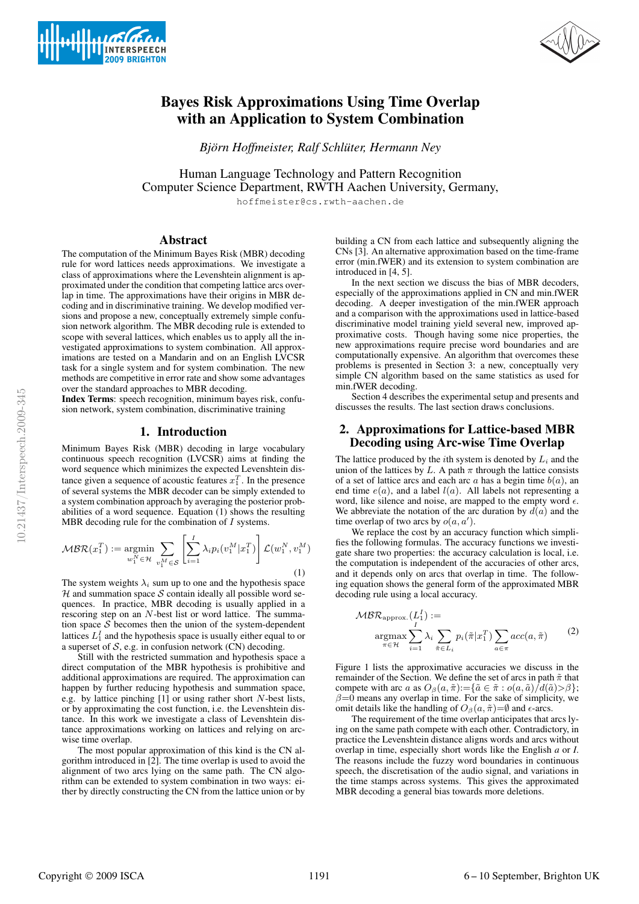



# Bayes Risk Approximations Using Time Overlap with an Application to System Combination

*Biörn Hoffmeister, Ralf Schlüter, Hermann Ney* 

Human Language Technology and Pattern Recognition Computer Science Department, RWTH Aachen University, Germany,

hoffmeister@cs.rwth-aachen.de

#### Abstract

The computation of the Minimum Bayes Risk (MBR) decoding rule for word lattices needs approximations. We investigate a class of approximations where the Levenshtein alignment is approximated under the condition that competing lattice arcs overlap in time. The approximations have their origins in MBR decoding and in discriminative training. We develop modified versions and propose a new, conceptually extremely simple confusion network algorithm. The MBR decoding rule is extended to scope with several lattices, which enables us to apply all the investigated approximations to system combination. All approximations are tested on a Mandarin and on an English LVCSR task for a single system and for system combination. The new methods are competitive in error rate and show some advantages over the standard approaches to MBR decoding.

Index Terms: speech recognition, minimum bayes risk, confusion network, system combination, discriminative training

## 1. Introduction

Minimum Bayes Risk (MBR) decoding in large vocabulary continuous speech recognition (LVCSR) aims at finding the word sequence which minimizes the expected Levenshtein distance given a sequence of acoustic features  $x_1^T$ . In the presence of several systems the MBR decoder can be simply extended to a system combination approach by averaging the posterior probabilities of a word sequence. Equation (1) shows the resulting MBR decoding rule for the combination of  $I$  systems.

$$
\mathcal{MBR}(x_1^T) := \underset{w_1^N \in \mathcal{H}}{\text{argmin}} \sum_{v_1^M \in \mathcal{S}} \left[ \sum_{i=1}^I \lambda_i p_i(v_1^M | x_1^T) \right] \mathcal{L}(w_1^N, v_1^M) \tag{1}
$$

The system weights  $\lambda_i$  sum up to one and the hypothesis space  $H$  and summation space S contain ideally all possible word sequences. In practice, MBR decoding is usually applied in a rescoring step on an N-best list or word lattice. The summation space  $S$  becomes then the union of the system-dependent lattices  $L_1^I$  and the hypothesis space is usually either equal to or a superset of  $S$ , e.g. in confusion network (CN) decoding.

Still with the restricted summation and hypothesis space a direct computation of the MBR hypothesis is prohibitive and additional approximations are required. The approximation can happen by further reducing hypothesis and summation space, e.g. by lattice pinching  $[1]$  or using rather short N-best lists, or by approximating the cost function, i.e. the Levenshtein distance. In this work we investigate a class of Levenshtein distance approximations working on lattices and relying on arcwise time overlap.

The most popular approximation of this kind is the CN algorithm introduced in [2]. The time overlap is used to avoid the alignment of two arcs lying on the same path. The CN algorithm can be extended to system combination in two ways: either by directly constructing the CN from the lattice union or by

building a CN from each lattice and subsequently aligning the CNs [3]. An alternative approximation based on the time-frame error (min.fWER) and its extension to system combination are introduced in [4, 5].

In the next section we discuss the bias of MBR decoders, especially of the approximations applied in CN and min.fWER decoding. A deeper investigation of the min.fWER approach and a comparison with the approximations used in lattice-based discriminative model training yield several new, improved approximative costs. Though having some nice properties, the new approximations require precise word boundaries and are computationally expensive. An algorithm that overcomes these problems is presented in Section 3: a new, conceptually very simple CN algorithm based on the same statistics as used for min.fWER decoding.

Section 4 describes the experimental setup and presents and discusses the results. The last section draws conclusions.

## 2. Approximations for Lattice-based MBR Decoding using Arc-wise Time Overlap

The lattice produced by the *i*th system is denoted by  $L_i$  and the union of the lattices by L. A path  $\pi$  through the lattice consists of a set of lattice arcs and each arc  $a$  has a begin time  $b(a)$ , an end time  $e(a)$ , and a label  $l(a)$ . All labels not representing a word, like silence and noise, are mapped to the empty word  $\epsilon$ . We abbreviate the notation of the arc duration by  $d(a)$  and the time overlap of two arcs by  $o(a, a')$ .

We replace the cost by an accuracy function which simplifies the following formulas. The accuracy functions we investigate share two properties: the accuracy calculation is local, i.e. the computation is independent of the accuracies of other arcs, and it depends only on arcs that overlap in time. The following equation shows the general form of the approximated MBR decoding rule using a local accuracy.

$$
\mathcal{MBR}_{\text{approx.}}(L_1^I) := \underset{\pi \in \mathcal{H}}{\operatorname{argmax}} \sum_{i=1}^I \lambda_i \sum_{\tilde{\pi} \in L_i} p_i(\tilde{\pi}|x_1^T) \sum_{a \in \pi} acc(a, \tilde{\pi}) \tag{2}
$$

Figure 1 lists the approximative accuracies we discuss in the remainder of the Section. We define the set of arcs in path  $\tilde{\pi}$  that compete with arc a as  $O_\beta(a, \tilde{\pi}) := {\tilde{a} \in \tilde{\pi} : o(a, \tilde{a})/d(\tilde{a}) > \beta};$  $\beta = 0$  means any overlap in time. For the sake of simplicity, we omit details like the handling of  $O_\beta(a, \tilde{\pi}) = \emptyset$  and  $\epsilon$ -arcs.

The requirement of the time overlap anticipates that arcs lying on the same path compete with each other. Contradictory, in practice the Levenshtein distance aligns words and arcs without overlap in time, especially short words like the English *a* or *I*. The reasons include the fuzzy word boundaries in continuous speech, the discretisation of the audio signal, and variations in the time stamps across systems. This gives the approximated MBR decoding a general bias towards more deletions.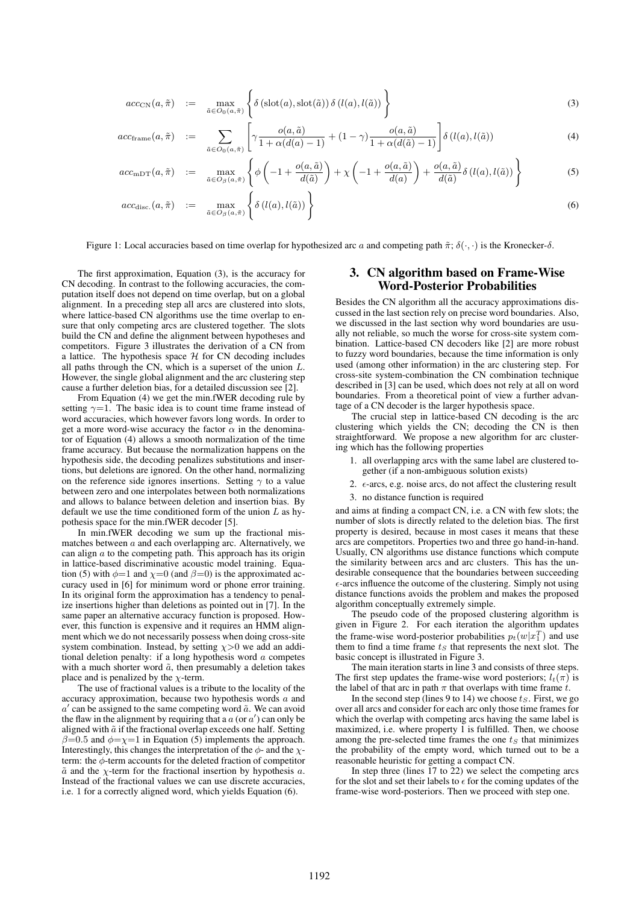$$
acc_{\text{CN}}(a,\tilde{\pi}) \quad := \quad \max_{\tilde{a}\in O_0(a,\tilde{\pi})}\left\{\delta\left(\text{slot}(a),\text{slot}(\tilde{a})\right)\delta\left(l(a),l(\tilde{a})\right)\right\} \tag{3}
$$

$$
acc_{\text{frame}}(a,\tilde{\pi}) \quad := \quad \sum_{\tilde{a}\in O_0(a,\tilde{\pi})} \left[ \gamma \frac{o(a,\tilde{a})}{1 + \alpha(d(a) - 1)} + (1 - \gamma) \frac{o(a,\tilde{a})}{1 + \alpha(d(\tilde{a}) - 1)} \right] \delta(l(a),l(\tilde{a})) \tag{4}
$$

$$
acc_{\text{mDT}}(a,\tilde{\pi}) \quad := \quad \max_{\tilde{a}\in O_{\beta}(a,\tilde{\pi})} \left\{ \phi\left(-1+\frac{o(a,\tilde{a})}{d(\tilde{a})}\right) + \chi\left(-1+\frac{o(a,\tilde{a})}{d(a)}\right) + \frac{o(a,\tilde{a})}{d(\tilde{a})}\delta\left(l(a),l(\tilde{a})\right) \right\} \tag{5}
$$

$$
acc_{\text{disc.}}(a, \tilde{\pi}) \quad := \quad \max_{\tilde{a} \in O_{\beta}(a, \tilde{\pi})} \left\{ \delta \left( l(a), l(\tilde{a}) \right) \right\} \tag{6}
$$

Figure 1: Local accuracies based on time overlap for hypothesized arc a and competing path  $\tilde{\pi}$ ;  $\delta(\cdot, \cdot)$  is the Kronecker- $\delta$ .

The first approximation, Equation (3), is the accuracy for CN decoding. In contrast to the following accuracies, the computation itself does not depend on time overlap, but on a global alignment. In a preceding step all arcs are clustered into slots, where lattice-based CN algorithms use the time overlap to ensure that only competing arcs are clustered together. The slots build the CN and define the alignment between hypotheses and competitors. Figure 3 illustrates the derivation of a CN from a lattice. The hypothesis space  $H$  for CN decoding includes all paths through the CN, which is a superset of the union  $L$ . However, the single global alignment and the arc clustering step cause a further deletion bias, for a detailed discussion see [2].

From Equation (4) we get the min.fWER decoding rule by setting  $\gamma=1$ . The basic idea is to count time frame instead of word accuracies, which however favors long words. In order to get a more word-wise accuracy the factor  $\alpha$  in the denominator of Equation (4) allows a smooth normalization of the time frame accuracy. But because the normalization happens on the hypothesis side, the decoding penalizes substitutions and insertions, but deletions are ignored. On the other hand, normalizing on the reference side ignores insertions. Setting  $\gamma$  to a value between zero and one interpolates between both normalizations and allows to balance between deletion and insertion bias. By default we use the time conditioned form of the union  $L$  as hypothesis space for the min.fWER decoder [5].

In min.fWER decoding we sum up the fractional mismatches between  $a$  and each overlapping arc. Alternatively, we can align  $a$  to the competing path. This approach has its origin in lattice-based discriminative acoustic model training. Equation (5) with  $\phi=1$  and  $\chi=0$  (and  $\beta=0$ ) is the approximated accuracy used in [6] for minimum word or phone error training. In its original form the approximation has a tendency to penalize insertions higher than deletions as pointed out in [7]. In the same paper an alternative accuracy function is proposed. However, this function is expensive and it requires an HMM alignment which we do not necessarily possess when doing cross-site system combination. Instead, by setting  $\chi$ >0 we add an additional deletion penalty: if a long hypothesis word  $a$  competes with a much shorter word  $\tilde{a}$ , then presumably a deletion takes place and is penalized by the  $\chi$ -term.

The use of fractional values is a tribute to the locality of the accuracy approximation, because two hypothesis words  $a$  and  $a'$  can be assigned to the same competing word  $\tilde{a}$ . We can avoid the flaw in the alignment by requiring that a  $a$  (or  $a'$ ) can only be aligned with  $\tilde{a}$  if the fractional overlap exceeds one half. Setting  $\beta$ =0.5 and  $\phi$ = $\chi$ =1 in Equation (5) implements the approach. Interestingly, this changes the interpretation of the  $\phi$ - and the  $\chi$ term: the  $\phi$ -term accounts for the deleted fraction of competitor  $\tilde{a}$  and the  $\chi$ -term for the fractional insertion by hypothesis a. Instead of the fractional values we can use discrete accuracies, i.e. 1 for a correctly aligned word, which yields Equation (6).

## 3. CN algorithm based on Frame-Wise Word-Posterior Probabilities

Besides the CN algorithm all the accuracy approximations discussed in the last section rely on precise word boundaries. Also, we discussed in the last section why word boundaries are usually not reliable, so much the worse for cross-site system combination. Lattice-based CN decoders like [2] are more robust to fuzzy word boundaries, because the time information is only used (among other information) in the arc clustering step. For cross-site system-combination the CN combination technique described in [3] can be used, which does not rely at all on word boundaries. From a theoretical point of view a further advantage of a CN decoder is the larger hypothesis space.

The crucial step in lattice-based CN decoding is the arc clustering which yields the CN; decoding the CN is then straightforward. We propose a new algorithm for arc clustering which has the following properties

- 1. all overlapping arcs with the same label are clustered together (if a non-ambiguous solution exists)
- 2.  $\epsilon$ -arcs, e.g. noise arcs, do not affect the clustering result
- 3. no distance function is required

and aims at finding a compact CN, i.e. a CN with few slots; the number of slots is directly related to the deletion bias. The first property is desired, because in most cases it means that these arcs are competitors. Properties two and three go hand-in-hand. Usually, CN algorithms use distance functions which compute the similarity between arcs and arc clusters. This has the undesirable consequence that the boundaries between succeeding  $\epsilon$ -arcs influence the outcome of the clustering. Simply not using distance functions avoids the problem and makes the proposed algorithm conceptually extremely simple.

The pseudo code of the proposed clustering algorithm is given in Figure 2. For each iteration the algorithm updates the frame-wise word-posterior probabilities  $p_t(w|x_1^T)$  and use them to find a time frame  $t<sub>S</sub>$  that represents the next slot. The basic concept is illustrated in Figure 3.

The main iteration starts in line 3 and consists of three steps. The first step updates the frame-wise word posteriors;  $l_t(\pi)$  is the label of that arc in path  $\pi$  that overlaps with time frame t.

In the second step (lines 9 to 14) we choose  $t_S$ . First, we go over all arcs and consider for each arc only those time frames for which the overlap with competing arcs having the same label is maximized, i.e. where property 1 is fulfilled. Then, we choose among the pre-selected time frames the one  $t<sub>S</sub>$  that minimizes the probability of the empty word, which turned out to be a reasonable heuristic for getting a compact CN.

In step three (lines 17 to 22) we select the competing arcs for the slot and set their labels to  $\epsilon$  for the coming updates of the frame-wise word-posteriors. Then we proceed with step one.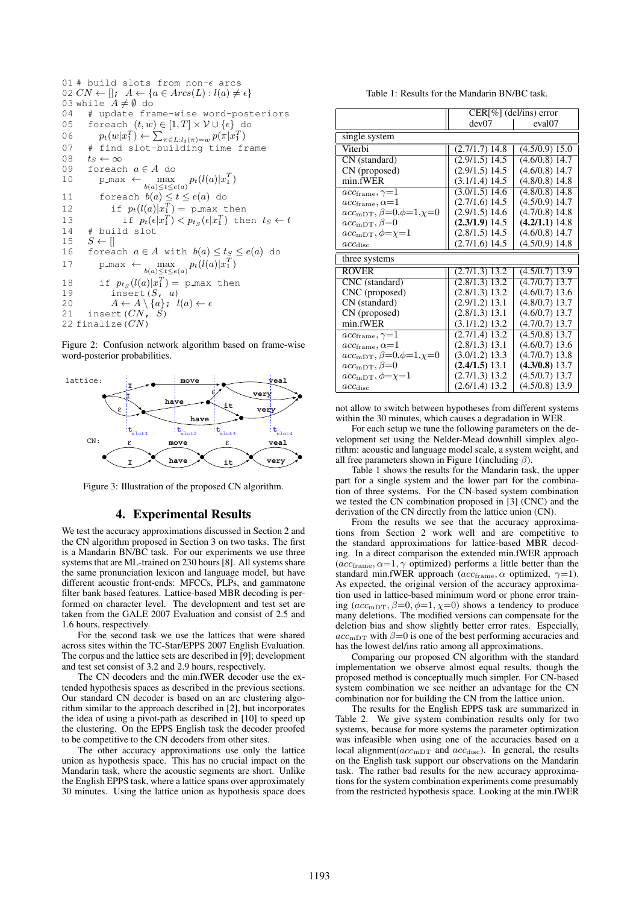01 # build slots from non-
$$
\epsilon
$$
 arcs  
\n02  $CN \leftarrow []$ ;  $A \leftarrow \{a \in Arcs(L) : l(a) \neq \epsilon\}$   
\n03 while  $A \neq \emptyset$  do  
\n04 # update frame-wise word-posteriors  
\n05 foreach  $(t, w) \in [1, T] \times V \cup \{\epsilon\}$  do  
\n06  $p_t(w|x_1^T) \leftarrow \sum_{\pi \in L:l_t(\pi) = w} p(\pi|x_1^T)$   
\n07 # find slot-building time frame  
\n08  $t_S \leftarrow \infty$   
\n09  $\epsilon_S \leftarrow \infty$   
\n09  $\epsilon_S \leftarrow \infty$   
\n01  $\epsilon_S \leftarrow \infty$   
\n02  $\epsilon_S \leftarrow \infty$   
\n03  $\epsilon_S \leftarrow \infty$   
\n04  $\epsilon_S \leftarrow \infty$   
\n05  $\epsilon_S \leftarrow \infty$   
\n06  $\epsilon_S \leftarrow \infty$   
\n07  $\epsilon_S \leftarrow \infty$   
\n08  $\epsilon_S \leftarrow \infty$   
\n09  $\epsilon_S \leftarrow \infty$   
\n01  $\epsilon_S \leftarrow \infty$   
\n02  $\epsilon_S \leftarrow \infty$   
\n03  $\epsilon_S \leftarrow \infty$   
\n04  $\epsilon_S \leftarrow \infty$   
\n05  $\epsilon_S \leftarrow \infty$   
\n06  $\infty$   
\n07  $\infty$  max  $\infty$   
\n08  $\infty$  max  $\infty$   
\n09  $\infty$  max  $\infty$   
\n010  $\infty$  max  $\infty$   
\n02  $\infty$  max  $\infty$   
\n03  $\infty$  max  $\infty$ <

Figure 2: Confusion network algorithm based on frame-wise word-posterior probabilities.



Figure 3: Illustration of the proposed CN algorithm.

#### 4. Experimental Results

We test the accuracy approximations discussed in Section 2 and the CN algorithm proposed in Section 3 on two tasks. The first is a Mandarin BN/BC task. For our experiments we use three systems that are ML-trained on 230 hours [8]. All systems share the same pronunciation lexicon and language model, but have different acoustic front-ends: MFCCs, PLPs, and gammatone filter bank based features. Lattice-based MBR decoding is performed on character level. The development and test set are taken from the GALE 2007 Evaluation and consist of 2.5 and 1.6 hours, respectively.

For the second task we use the lattices that were shared across sites within the TC-Star/EPPS 2007 English Evaluation. The corpus and the lattice sets are described in [9]; development and test set consist of 3.2 and 2.9 hours, respectively.

The CN decoders and the min.fWER decoder use the extended hypothesis spaces as described in the previous sections. Our standard CN decoder is based on an arc clustering algorithm similar to the approach described in [2], but incorporates the idea of using a pivot-path as described in [10] to speed up the clustering. On the EPPS English task the decoder proofed to be competitive to the CN decoders from other sites.

The other accuracy approximations use only the lattice union as hypothesis space. This has no crucial impact on the Mandarin task, where the acoustic segments are short. Unlike the English EPPS task, where a lattice spans over approximately 30 minutes. Using the lattice union as hypothesis space does

Table 1: Results for the Mandarin BN/BC task.

|                                       | $CER[\%]$ (del/ins) error            |                    |
|---------------------------------------|--------------------------------------|--------------------|
|                                       | dev07                                | eval <sub>07</sub> |
| single system                         |                                      |                    |
| Viterbi                               | $(2.7/1.7)$ 14.8                     | (4.5/0.9) 15.0     |
| CN (standard)                         | $(2.9/1.5)$ 14.5                     | $(4.6/0.8)$ 14.7   |
| CN (proposed)                         | $(2.9/1.5)$ 14.5                     | $(4.6/0.8)$ 14.7   |
| min.fWER                              | $(3.1/1.4)$ 14.5                     | $(4.8/0.8)$ 14.8   |
| $acc_{\text{frame}}, \gamma = 1$      | $(3.0/1.5)$ 14.6                     | $(4.8/0.8)$ 14.8   |
| $acc$ <sub>frame</sub> , $\alpha = 1$ | $(2.7/1.6)$ 14.5                     | $(4.5/0.9)$ 14.7   |
| $acc_{mDT}, \beta=0, \phi=1, \chi=0$  | $(2.9/1.5)$ 14.6                     | $(4.7/0.8)$ 14.8   |
| $acc_{mDT}, \beta=0$                  | $(2.3/1.9)$ 14.5                     | $(4.2/1.1)$ 14.8   |
| $acc_{mDT}, \phi = \chi = 1$          | $(2.8/1.5)$ 14.5                     | $(4.6/0.8)$ 14.7   |
| $acc_{\rm disc}$                      | $(2.7/1.6)$ 14.5                     | $(4.5/0.9)$ 14.8   |
| three systems                         |                                      |                    |
| <b>ROVER</b>                          | $(2.7/1.3)$ 13.2                     | $(4.5/0.7)$ 13.9   |
| CNC (standard)                        | $(2.8/1.3)$ 13.2                     | $(4.7/0.7)$ 13.7   |
| CNC (proposed)                        | $(2.8/1.3)$ 13.2                     | $(4.6/0.7)$ 13.6   |
| CN (standard)                         | $(2.9/1.2)$ 13.1                     | $(4.8/0.7)$ 13.7   |
| CN (proposed)                         | $(2.8/1.3)$ 13.1                     | $(4.6/0.7)$ 13.7   |
| min.fWER                              | $(3.1/1.2)$ 13.2                     |                    |
|                                       |                                      | $(4.7/0.7)$ 13.7   |
| $acc$ <sub>frame</sub> , $\gamma=1$   | $(2.7/1.4)$ 13.2                     | $(4.5/0.8)$ 13.7   |
| $acc_{\text{frame}}, \alpha = 1$      | $(2.8/1.3)$ 13.1                     | $(4.6/0.7)$ 13.6   |
| $acc_{mDT}, \beta=0, \phi=1, \chi=0$  | $(3.0/1.2)$ 13.3                     | $(4.7/0.7)$ 13.8   |
| $acc_{mDT}, \beta=0$                  | $(2.4/1.5)$ 13.1                     | $(4.3/0.8)$ 13.7   |
| $acc_{\rm mDT}, \phi = \chi = 1$      | $(2.7/1.3)$ 13.2<br>$(2.6/1.4)$ 13.2 | $(4.5/0.7)$ 13.7   |

not allow to switch between hypotheses from different systems within the 30 minutes, which causes a degradation in WER.

For each setup we tune the following parameters on the development set using the Nelder-Mead downhill simplex algorithm: acoustic and language model scale, a system weight, and all free parameters shown in Figure 1(including  $\beta$ ).

Table 1 shows the results for the Mandarin task, the upper part for a single system and the lower part for the combination of three systems. For the CN-based system combination we tested the CN combination proposed in [3] (CNC) and the derivation of the CN directly from the lattice union (CN).

From the results we see that the accuracy approximations from Section 2 work well and are competitive to the standard approximations for lattice-based MBR decoding. In a direct comparison the extended min.fWER approach  $(acc_{frame}, \alpha=1, \gamma$  optimized) performs a little better than the standard min.fWER approach ( $acc_{frame}$ ,  $\alpha$  optimized,  $\gamma$ =1). As expected, the original version of the accuracy approximation used in lattice-based minimum word or phone error training ( $acc_{mDT}, \beta=0, \phi=1, \chi=0$ ) shows a tendency to produce many deletions. The modified versions can compensate for the deletion bias and show slightly better error rates. Especially,  $acc_{\text{mDT}}$  with  $\beta$ =0 is one of the best performing accuracies and has the lowest del/ins ratio among all approximations.

Comparing our proposed CN algorithm with the standard implementation we observe almost equal results, though the proposed method is conceptually much simpler. For CN-based system combination we see neither an advantage for the CN combination nor for building the CN from the lattice union.

The results for the English EPPS task are summarized in Table 2. We give system combination results only for two systems, because for more systems the parameter optimization was infeasible when using one of the accuracies based on a local alignment( $acc_{\text{mDT}}$  and  $acc_{\text{disc}}$ ). In general, the results on the English task support our observations on the Mandarin task. The rather bad results for the new accuracy approximations for the system combination experiments come presumably from the restricted hypothesis space. Looking at the min.fWER